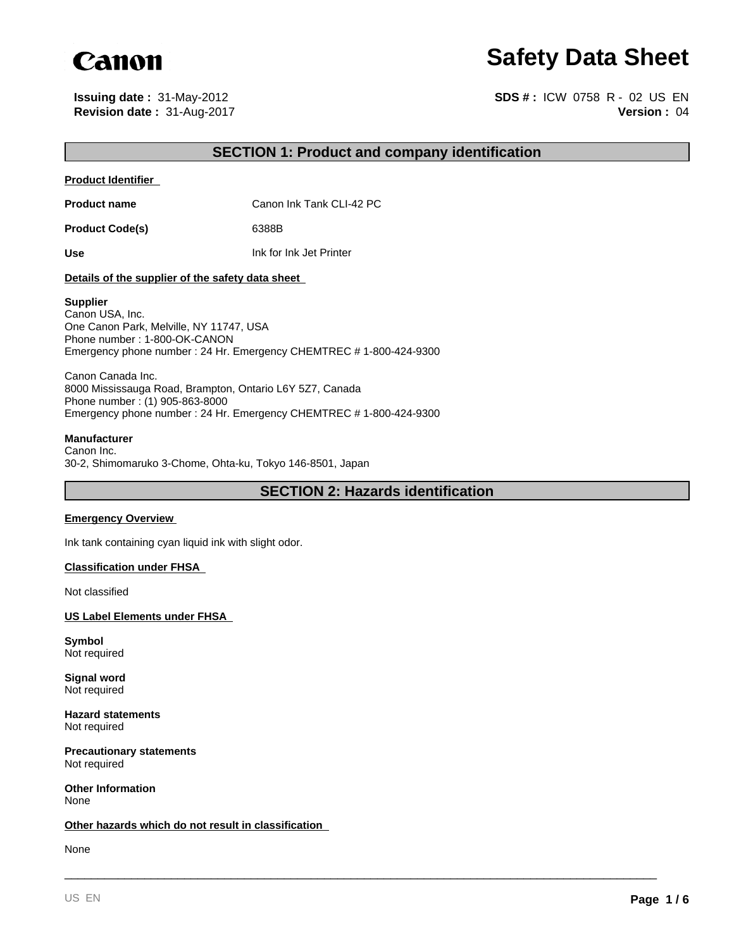

# **Safety Data Sheet**

**Revision date :** 31-Aug-2017 **Issuing date :** 31-May-2012

**Version :** 04 **SDS # :** ICW 0758 R - 02 US EN

## **SECTION 1: Product and company identification**

#### **Product Identifier**

**Product name** Canon Ink Tank CLI-42 PC

Product Code(s) 6388B

**Use** Ink for Ink Jet Printer

#### **Details of the supplier of the safety data sheet**

#### **Supplier**

Canon USA, Inc. One Canon Park, Melville, NY 11747, USA Phone number : 1-800-OK-CANON Emergency phone number : 24 Hr. Emergency CHEMTREC # 1-800-424-9300

Canon Canada Inc. 8000 Mississauga Road, Brampton, Ontario L6Y 5Z7, Canada Phone number : (1) 905-863-8000 Emergency phone number : 24 Hr. Emergency CHEMTREC # 1-800-424-9300

#### **Manufacturer**

Canon Inc. 30-2, Shimomaruko 3-Chome, Ohta-ku, Tokyo 146-8501, Japan

**SECTION 2: Hazards identification**

\_\_\_\_\_\_\_\_\_\_\_\_\_\_\_\_\_\_\_\_\_\_\_\_\_\_\_\_\_\_\_\_\_\_\_\_\_\_\_\_\_\_\_\_\_\_\_\_\_\_\_\_\_\_\_\_\_\_\_\_\_\_\_\_\_\_\_\_\_\_\_\_\_\_\_\_\_\_\_\_\_\_\_\_\_\_\_\_\_

#### **Emergency Overview**

Ink tank containing cyan liquid ink with slight odor.

#### **Classification under FHSA**

Not classified

**US Label Elements under FHSA** 

**Symbol** Not required

**Signal word** Not required

**Hazard statements** Not required

**Precautionary statements** Not required

**Other Information** None

#### **Other hazards which do not result in classification**

None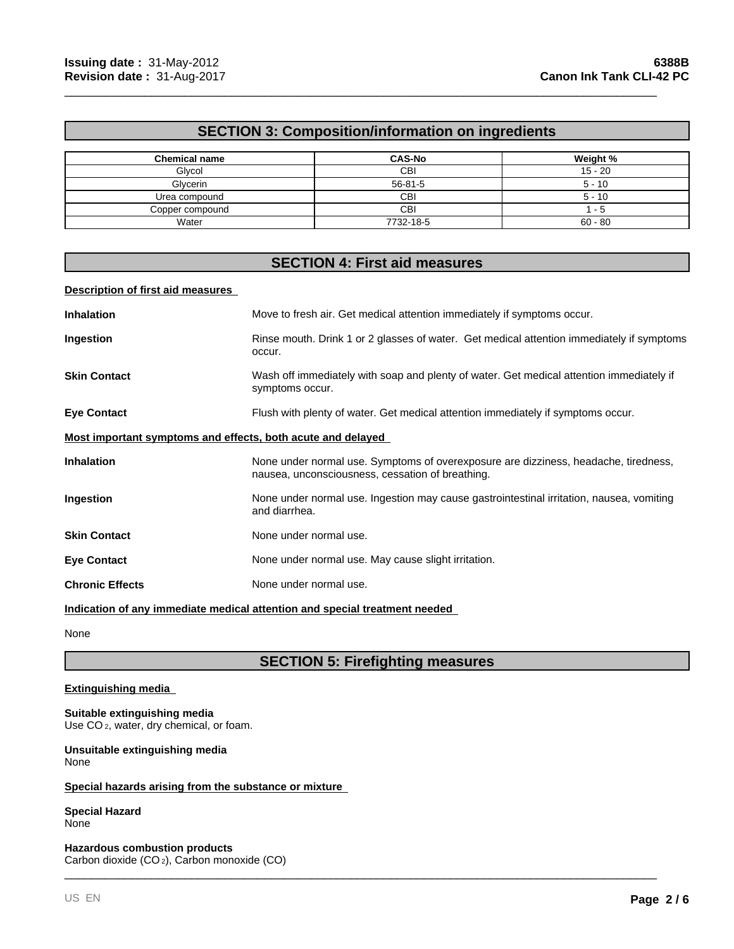# **SECTION 3: Composition/information on ingredients**

\_\_\_\_\_\_\_\_\_\_\_\_\_\_\_\_\_\_\_\_\_\_\_\_\_\_\_\_\_\_\_\_\_\_\_\_\_\_\_\_\_\_\_\_\_\_\_\_\_\_\_\_\_\_\_\_\_\_\_\_\_\_\_\_\_\_\_\_\_\_\_\_\_\_\_\_\_\_\_\_\_\_\_\_\_\_\_\_\_

| <b>Chemical name</b> | <b>CAS-No</b> | Weight %  |
|----------------------|---------------|-----------|
| Glycol               | СBІ           | $15 - 20$ |
| Glycerin             | $56 - 81 - 5$ | $5 - 10$  |
| Urea compound        | СBІ           | $5 - 10$  |
| Copper compound      | СBІ           | - 5       |
| Water                | 7732-18-5     | $60 - 80$ |

# **SECTION 4: First aid measures**

#### **Description of first aid measures**

| <b>Inhalation</b>                                                          | Move to fresh air. Get medical attention immediately if symptoms occur.                                                                 |  |
|----------------------------------------------------------------------------|-----------------------------------------------------------------------------------------------------------------------------------------|--|
| Ingestion                                                                  | Rinse mouth. Drink 1 or 2 glasses of water. Get medical attention immediately if symptoms<br>occur.                                     |  |
| <b>Skin Contact</b>                                                        | Wash off immediately with soap and plenty of water. Get medical attention immediately if<br>symptoms occur.                             |  |
| <b>Eye Contact</b>                                                         | Flush with plenty of water. Get medical attention immediately if symptoms occur.                                                        |  |
| Most important symptoms and effects, both acute and delayed                |                                                                                                                                         |  |
| <b>Inhalation</b>                                                          | None under normal use. Symptoms of overexposure are dizziness, headache, tiredness,<br>nausea, unconsciousness, cessation of breathing. |  |
| Ingestion                                                                  | None under normal use. Ingestion may cause gastrointestinal irritation, nausea, vomiting<br>and diarrhea.                               |  |
| <b>Skin Contact</b>                                                        | None under normal use.                                                                                                                  |  |
| <b>Eye Contact</b>                                                         | None under normal use. May cause slight irritation.                                                                                     |  |
| <b>Chronic Effects</b>                                                     | None under normal use.                                                                                                                  |  |
| Indication of any immediate medical attention and special treatment needed |                                                                                                                                         |  |

None

# **SECTION 5: Firefighting measures**

\_\_\_\_\_\_\_\_\_\_\_\_\_\_\_\_\_\_\_\_\_\_\_\_\_\_\_\_\_\_\_\_\_\_\_\_\_\_\_\_\_\_\_\_\_\_\_\_\_\_\_\_\_\_\_\_\_\_\_\_\_\_\_\_\_\_\_\_\_\_\_\_\_\_\_\_\_\_\_\_\_\_\_\_\_\_\_\_\_

#### **Extinguishing media**

#### **Suitable extinguishing media**

Use CO<sub>2</sub>, water, dry chemical, or foam.

**Unsuitable extinguishing media** None

#### **Special hazards arising from the substance or mixture**

#### **Special Hazard** None

**Hazardous combustion products** Carbon dioxide (CO 2), Carbon monoxide (CO)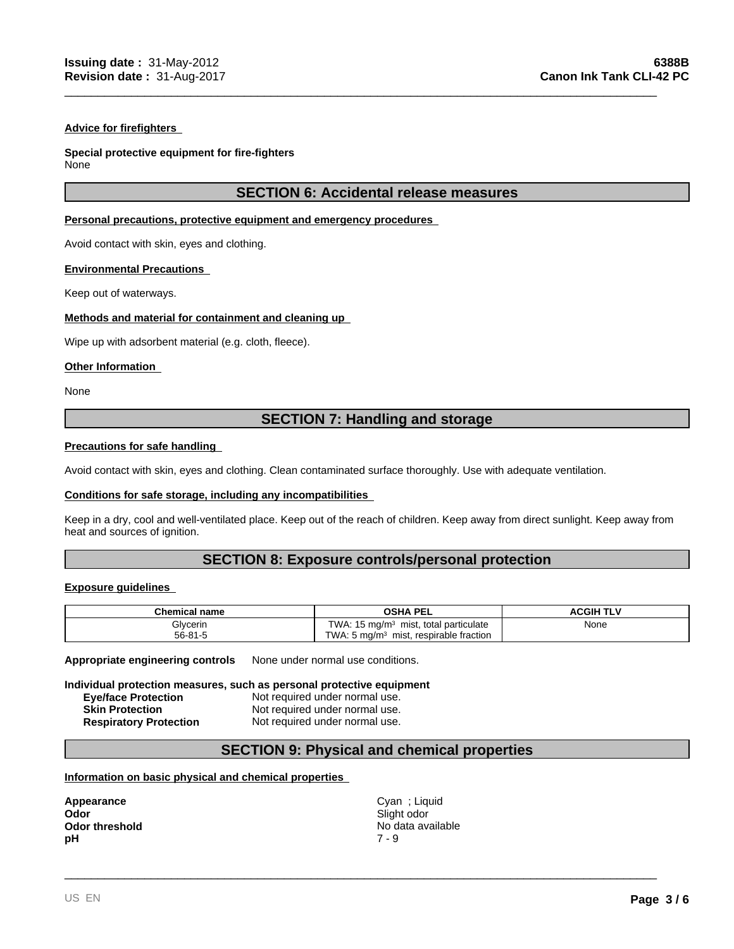#### **Advice for firefighters**

#### **Special protective equipment for fire-fighters**

None

## **SECTION 6: Accidental release measures**

\_\_\_\_\_\_\_\_\_\_\_\_\_\_\_\_\_\_\_\_\_\_\_\_\_\_\_\_\_\_\_\_\_\_\_\_\_\_\_\_\_\_\_\_\_\_\_\_\_\_\_\_\_\_\_\_\_\_\_\_\_\_\_\_\_\_\_\_\_\_\_\_\_\_\_\_\_\_\_\_\_\_\_\_\_\_\_\_\_

#### **Personal precautions, protective equipment and emergency procedures**

Avoid contact with skin, eyes and clothing.

#### **Environmental Precautions**

Keep out of waterways.

#### **Methods and material for containment and cleaning up**

Wipe up with adsorbent material (e.g. cloth, fleece).

#### **Other Information**

None

# **SECTION 7: Handling and storage**

#### **Precautions for safe handling**

Avoid contact with skin, eyes and clothing. Clean contaminated surface thoroughly. Use with adequate ventilation.

#### **Conditions for safe storage, including any incompatibilities**

Keep in a dry, cool and well-ventilated place. Keep out of the reach of children. Keep away from direct sunlight. Keep away from heat and sources of ignition.

## **SECTION 8: Exposure controls/personal protection**

#### **Exposure guidelines**

| <b>Chemical name</b> | <b>OSHA PEL</b>                                              | ACGIH TI <sup>v</sup> |  |
|----------------------|--------------------------------------------------------------|-----------------------|--|
| Glycerin             | TWA.<br>, total particulate<br>15 mg/m <sup>3</sup><br>mist, | None<br>$\sim$ $\sim$ |  |
| $56 - 81 - 5$        | TWA.<br>respirable fraction<br>. 5 ma/m $3$<br>mist,         |                       |  |

**Appropriate engineering controls** None under normal use conditions.

#### **Individual protection measures, such as personal protective equipment**

| <b>Eye/face Protection</b>    | Not required under normal use. |
|-------------------------------|--------------------------------|
| <b>Skin Protection</b>        | Not required under normal use. |
| <b>Respiratory Protection</b> | Not required under normal use. |

## **SECTION 9: Physical and chemical properties**

#### **Information on basic physical and chemical properties**

| Appearance            |
|-----------------------|
| Odor                  |
| <b>Odor threshold</b> |
| рH                    |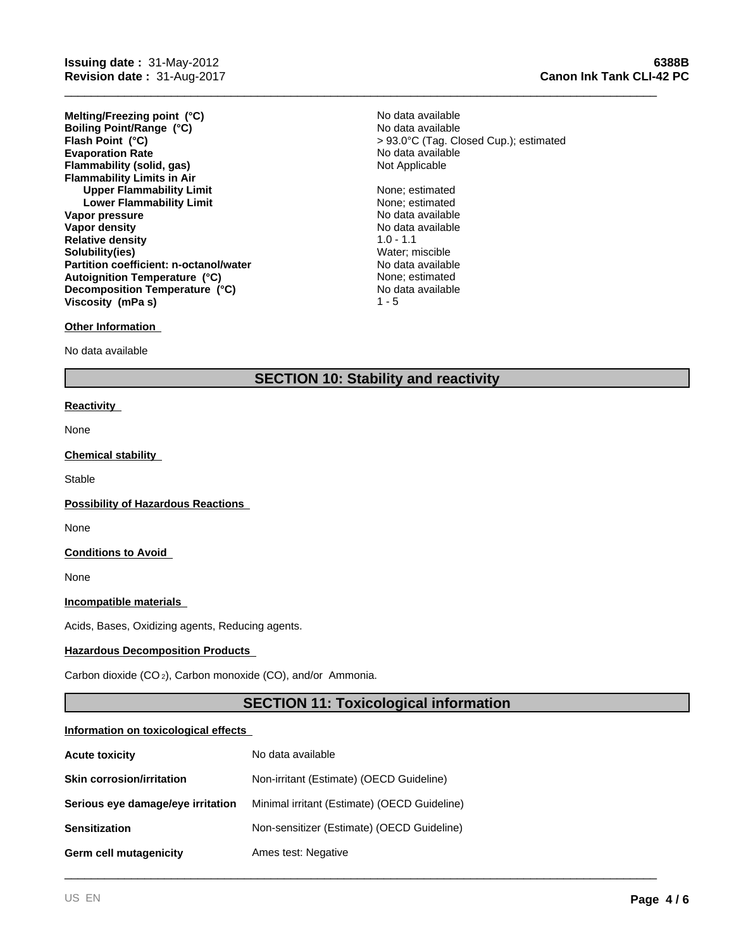**Evaporation Rate Example 2018** No data available<br> **Elammability (solid, gas)** Not Applicable **Notice Applicable Flammability (solid, gas) Flammability Limits in Air Upper Flammability Limit** None; estimated **Lower Flammability Limit** None; estimated **Vapor pressure** No data available No data available **Vapor density No data available No data available Relative density** 1.0 - 1.1 **Solubility(ies)** Water; miscible **Partition coefficient: n-octanol/water** No data available<br> **Autoignition Temperature (°C)** None: estimated **Melting/Freezing point (°C) Autoignition Temperature (°C) Decomposition Temperature (°C) Boiling Point/Range (°C) Viscosity (mPa s)**

# **Other Information**

No data available

# **SECTION 10: Stability and reactivity**

#### **Reactivity**

None

#### **Chemical stability**

**Stable** 

**Possibility of Hazardous Reactions** 

None

**Conditions to Avoid** 

None

**Incompatible materials** 

Acids, Bases, Oxidizing agents, Reducing agents.

### **Hazardous Decomposition Products**

Carbon dioxide (CO 2), Carbon monoxide (CO), and/or Ammonia.

## **SECTION 11: Toxicological information**

\_\_\_\_\_\_\_\_\_\_\_\_\_\_\_\_\_\_\_\_\_\_\_\_\_\_\_\_\_\_\_\_\_\_\_\_\_\_\_\_\_\_\_\_\_\_\_\_\_\_\_\_\_\_\_\_\_\_\_\_\_\_\_\_\_\_\_\_\_\_\_\_\_\_\_\_\_\_\_\_\_\_\_\_\_\_\_\_\_

#### **Information on toxicological effects**

| <b>Acute toxicity</b>             | No data available                            |
|-----------------------------------|----------------------------------------------|
| <b>Skin corrosion/irritation</b>  | Non-irritant (Estimate) (OECD Guideline)     |
| Serious eye damage/eye irritation | Minimal irritant (Estimate) (OECD Guideline) |
| <b>Sensitization</b>              | Non-sensitizer (Estimate) (OECD Guideline)   |
| Germ cell mutagenicity            | Ames test: Negative                          |

No data available **Flash Point (°C)** > 93.0°C (Tag. Closed Cup.); estimated No data available

> No data available  $1 - 5$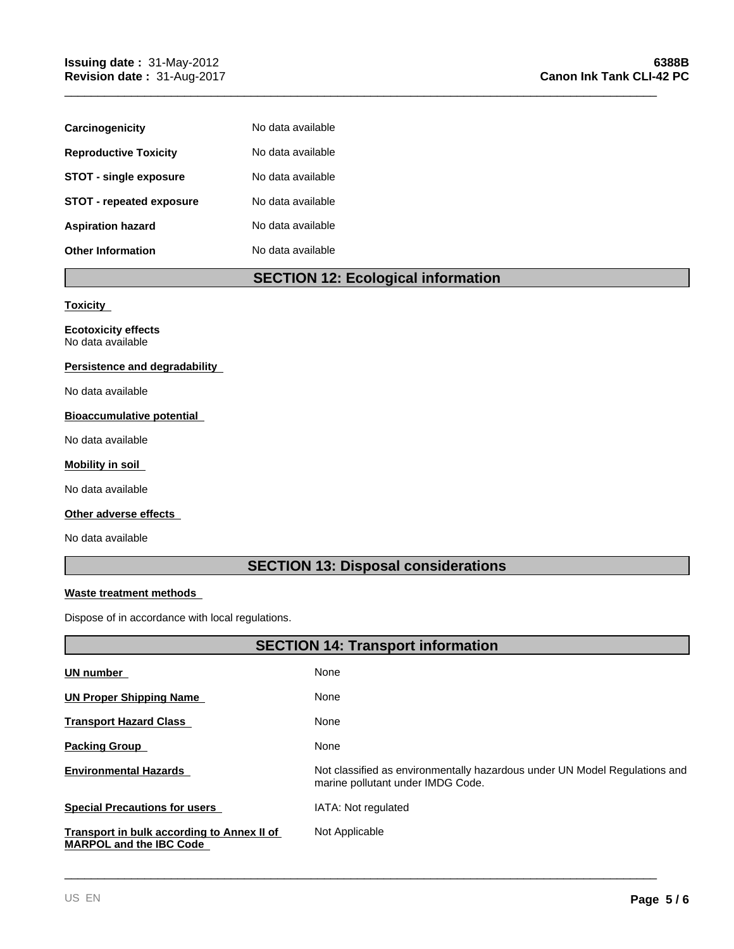| Carcinogenicity                 | No data available |
|---------------------------------|-------------------|
| <b>Reproductive Toxicity</b>    | No data available |
| <b>STOT - single exposure</b>   | No data available |
| <b>STOT - repeated exposure</b> | No data available |
| <b>Aspiration hazard</b>        | No data available |
| <b>Other Information</b>        | No data available |

# **SECTION 12: Ecological information**

\_\_\_\_\_\_\_\_\_\_\_\_\_\_\_\_\_\_\_\_\_\_\_\_\_\_\_\_\_\_\_\_\_\_\_\_\_\_\_\_\_\_\_\_\_\_\_\_\_\_\_\_\_\_\_\_\_\_\_\_\_\_\_\_\_\_\_\_\_\_\_\_\_\_\_\_\_\_\_\_\_\_\_\_\_\_\_\_\_

#### **Toxicity**

**Ecotoxicity effects** No data available

#### **Persistence and degradability**

No data available

### **Bioaccumulative potential**

No data available

#### **Mobility in soil**

No data available

# **Other adverse effects**

No data available

**UN number** 

# **SECTION 13: Disposal considerations**

#### **Waste treatment methods**

Dispose of in accordance with local regulations.

# **SECTION 14: Transport information** None **UN Proper Shipping Name**  None

| UN Proper Shipping Name                                                      | none                                                                                                            |
|------------------------------------------------------------------------------|-----------------------------------------------------------------------------------------------------------------|
| <b>Transport Hazard Class</b>                                                | None                                                                                                            |
| <b>Packing Group</b>                                                         | None                                                                                                            |
| <b>Environmental Hazards</b>                                                 | Not classified as environmentally hazardous under UN Model Regulations and<br>marine pollutant under IMDG Code. |
| <b>Special Precautions for users</b>                                         | IATA: Not regulated                                                                                             |
| Transport in bulk according to Annex II of<br><b>MARPOL and the IBC Code</b> | Not Applicable                                                                                                  |